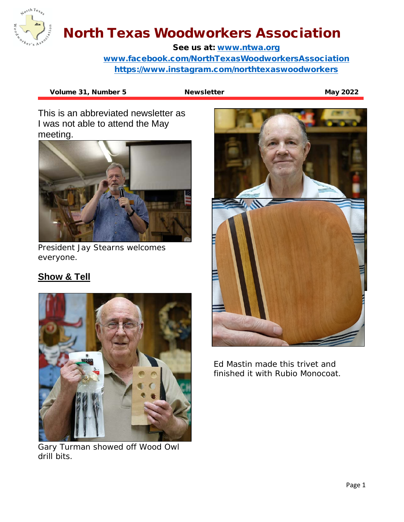

See us at: [www.ntwa.org](http://www.ntwa.org/) [www.facebook.com/NorthTexasWoodworkersAssociation](http://www.facebook.com/NorthTexasWoodworkersAssociation) <https://www.instagram.com/northtexaswoodworkers>

Volume 31, Number 5 Newsletter May 2022

This is an abbreviated newsletter as I was not able to attend the May meeting.



President Jay Stearns welcomes everyone.

### **Show & Tell**



Gary Turman showed off Wood Owl drill bits.



Ed Mastin made this trivet and finished it with Rubio Monocoat.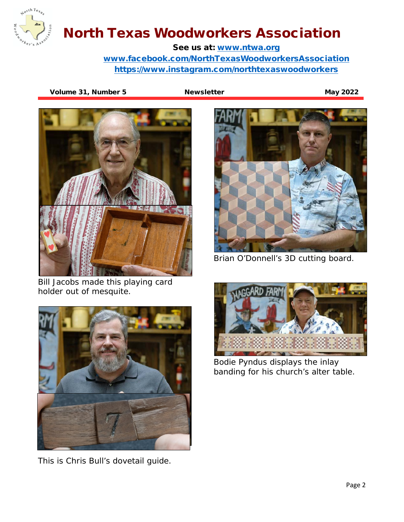

See us at: [www.ntwa.org](http://www.ntwa.org/) [www.facebook.com/NorthTexasWoodworkersAssociation](http://www.facebook.com/NorthTexasWoodworkersAssociation) <https://www.instagram.com/northtexaswoodworkers>

Volume 31, Number 5 Newsletter May 2022



Bill Jacobs made this playing card holder out of mesquite.



This is Chris Bull's dovetail guide.



Brian O'Donnell's 3D cutting board.



Bodie Pyndus displays the inlay banding for his church's alter table.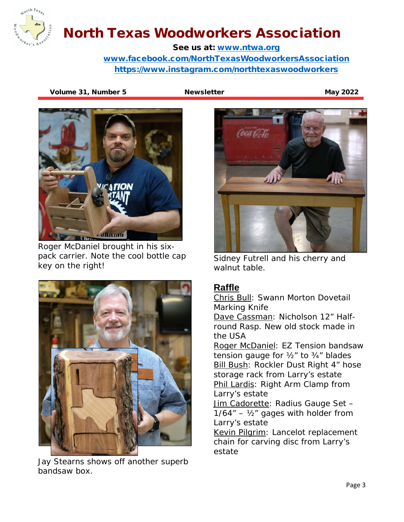

See us at: [www.ntwa.org](http://www.ntwa.org/) [www.facebook.com/NorthTexasWoodworkersAssociation](http://www.facebook.com/NorthTexasWoodworkersAssociation) <https://www.instagram.com/northtexaswoodworkers>

Volume 31, Number 5 Newsletter Metal and May 2022



Roger McDaniel brought in his sixpack carrier. Note the cool bottle cap key on the right!



Jay Stearns shows off another superb bandsaw box.



Sidney Futrell and his cherry and walnut table.

#### **Raffle**

Chris Bull: Swann Morton Dovetail Marking Knife

Dave Cassman: Nicholson 12" Halfround Rasp. New old stock made in the USA

Roger McDaniel: EZ Tension bandsaw tension gauge for  $\frac{1}{2}$ " to  $\frac{3}{4}$ " blades **Bill Bush: Rockler Dust Right 4" hose** storage rack from Larry's estate Phil Lardis: Right Arm Clamp from Larry's estate

Jim Cadorette: Radius Gauge Set - $1/64'' - V_2''$  gages with holder from Larry's estate

Kevin Pilgrim: Lancelot replacement chain for carving disc from Larry's estate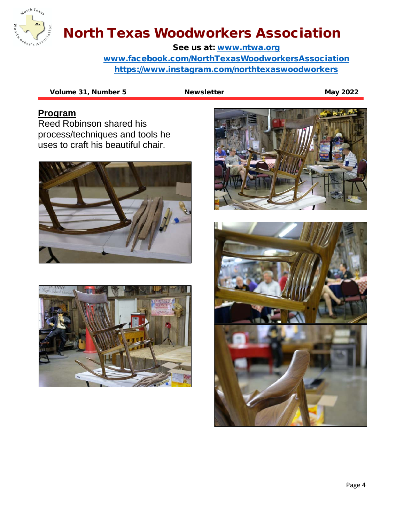

See us at: [www.ntwa.org](http://www.ntwa.org/) [www.facebook.com/NorthTexasWoodworkersAssociation](http://www.facebook.com/NorthTexasWoodworkersAssociation) <https://www.instagram.com/northtexaswoodworkers>

Volume 31, Number 5 Newsletter May 2022

#### **Program**

Reed Robinson shared his process/techniques and tools he uses to craft his beautiful chair.